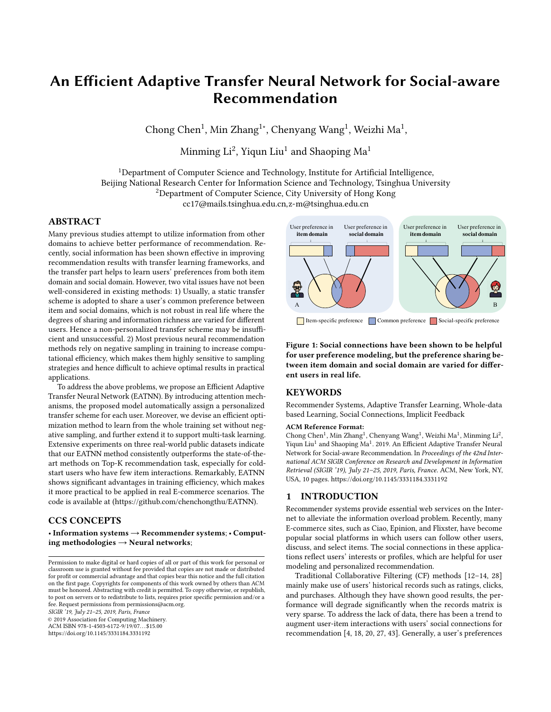# <span id="page-0-1"></span>An Efficient Adaptive Transfer Neural Network for Social-aware Recommendation

Chong Chen<sup>1</sup>, Min Zhang<sup>1∗</sup>, Chenyang Wang<sup>1</sup>, Weizhi Ma<sup>1</sup>,

Minming Li $^2$ , Yiqun Liu $^1$  and Shaoping Ma $^1$ 

<sup>1</sup>Department of Computer Science and Technology, Institute for Artificial Intelligence, Beijing National Research Center for Information Science and Technology, Tsinghua University <sup>2</sup>Department of Computer Science, City University of Hong Kong cc17@mails.tsinghua.edu.cn,z-m@tsinghua.edu.cn

ABSTRACT

Many previous studies attempt to utilize information from other domains to achieve better performance of recommendation. Recently, social information has been shown effective in improving recommendation results with transfer learning frameworks, and the transfer part helps to learn users' preferences from both item domain and social domain. However, two vital issues have not been well-considered in existing methods: 1) Usually, a static transfer scheme is adopted to share a user's common preference between item and social domains, which is not robust in real life where the degrees of sharing and information richness are varied for different users. Hence a non-personalized transfer scheme may be insufficient and unsuccessful. 2) Most previous neural recommendation methods rely on negative sampling in training to increase computational efficiency, which makes them highly sensitive to sampling strategies and hence difficult to achieve optimal results in practical applications.

To address the above problems, we propose an Efficient Adaptive Transfer Neural Network (EATNN). By introducing attention mechanisms, the proposed model automatically assign a personalized transfer scheme for each user. Moreover, we devise an efficient optimization method to learn from the whole training set without negative sampling, and further extend it to support multi-task learning. Extensive experiments on three real-world public datasets indicate that our EATNN method consistently outperforms the state-of-theart methods on Top-K recommendation task, especially for coldstart users who have few item interactions. Remarkably, EATNN shows significant advantages in training efficiency, which makes it more practical to be applied in real E-commerce scenarios. The code is available at (https://github.com/chenchongthu/EATNN).

## CCS CONCEPTS

• Information systems → Recommender systems; • Computing methodologies  $\rightarrow$  Neural networks;

SIGIR '19, July 21–25, 2019, Paris, France

© 2019 Association for Computing Machinery. ACM ISBN 978-1-4503-6172-9/19/07...\$15.00

<https://doi.org/10.1145/3331184.3331192>

<span id="page-0-0"></span>

Figure 1: Social connections have been shown to be helpful for user preference modeling, but the preference sharing between item domain and social domain are varied for different users in real life.

# **KEYWORDS**

Recommender Systems, Adaptive Transfer Learning, Whole-data based Learning, Social Connections, Implicit Feedback

#### ACM Reference Format:

Chong Chen<sup>1</sup>, Min Zhang<sup>1</sup>, Chenyang Wang<sup>1</sup>, Weizhi Ma<sup>1</sup>, Minming Li<sup>2</sup>, Yiqun Liu $^1$  and Shaoping Ma $^1$ . 2019. An Efficient Adaptive Transfer Neural Network for Social-aware Recommendation. In Proceedings of the 42nd International ACM SIGIR Conference on Research and Development in Information Retrieval (SIGIR '19), July 21-25, 2019, Paris, France. ACM, New York, NY, USA, [10](#page-9-0) pages.<https://doi.org/10.1145/3331184.3331192>

## 1 INTRODUCTION

Recommender systems provide essential web services on the Internet to alleviate the information overload problem. Recently, many E-commerce sites, such as Ciao, Epinion, and Flixster, have become popular social platforms in which users can follow other users, discuss, and select items. The social connections in these applications reflect users' interests or profiles, which are helpful for user modeling and personalized recommendation.

Traditional Collaborative Filtering (CF) methods [\[12–](#page-9-1)[14,](#page-9-2) [28\]](#page-9-3) mainly make use of users' historical records such as ratings, clicks, and purchases. Although they have shown good results, the performance will degrade significantly when the records matrix is very sparse. To address the lack of data, there has been a trend to augment user-item interactions with users' social connections for recommendation [\[4,](#page-9-4) [18,](#page-9-5) [20,](#page-9-6) [27,](#page-9-7) [43\]](#page-9-8). Generally, a user's preferences

Permission to make digital or hard copies of all or part of this work for personal or classroom use is granted without fee provided that copies are not made or distributed for profit or commercial advantage and that copies bear this notice and the full citation on the first page. Copyrights for components of this work owned by others than ACM must be honored. Abstracting with credit is permitted. To copy otherwise, or republish, to post on servers or to redistribute to lists, requires prior specific permission and/or a fee. Request permissions from permissions@acm.org.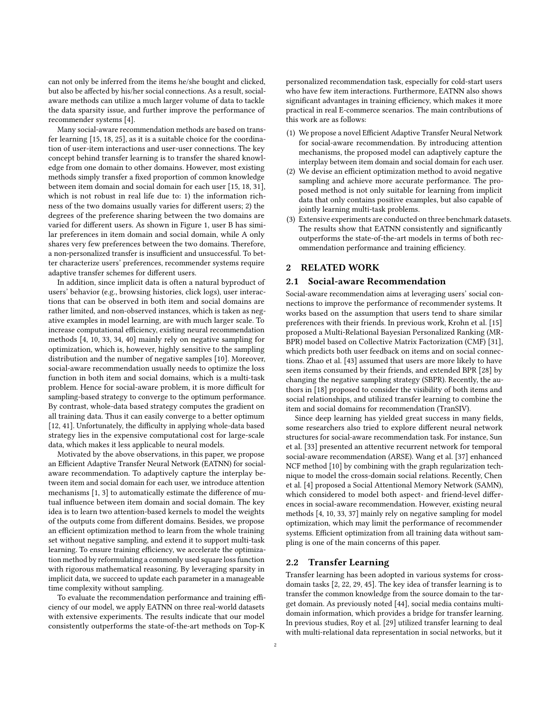can not only be inferred from the items he/she bought and clicked, but also be affected by his/her social connections. As a result, socialaware methods can utilize a much larger volume of data to tackle the data sparsity issue, and further improve the performance of recommender systems [\[4\]](#page-9-4).

Many social-aware recommendation methods are based on transfer learning [\[15,](#page-9-9) [18,](#page-9-5) [25\]](#page-9-10), as it is a suitable choice for the coordination of user-item interactions and user-user connections. The key concept behind transfer learning is to transfer the shared knowledge from one domain to other domains. However, most existing methods simply transfer a fixed proportion of common knowledge between item domain and social domain for each user [\[15,](#page-9-9) [18,](#page-9-5) [31\]](#page-9-11), which is not robust in real life due to: 1) the information richness of the two domains usually varies for different users; 2) the degrees of the preference sharing between the two domains are varied for different users. As shown in Figure [1,](#page-0-0) user B has similar preferences in item domain and social domain, while A only shares very few preferences between the two domains. Therefore, a non-personalized transfer is insufficient and unsuccessful. To better characterize users' preferences, recommender systems require adaptive transfer schemes for different users.

In addition, since implicit data is often a natural byproduct of users' behavior (e.g., browsing histories, click logs), user interactions that can be observed in both item and social domains are rather limited, and non-observed instances, which is taken as negative examples in model learning, are with much larger scale. To increase computational efficiency, existing neural recommendation methods [\[4,](#page-9-4) [10,](#page-9-12) [33,](#page-9-13) [34,](#page-9-14) [40\]](#page-9-15) mainly rely on negative sampling for optimization, which is, however, highly sensitive to the sampling distribution and the number of negative samples [\[10\]](#page-9-12). Moreover, social-aware recommendation usually needs to optimize the loss function in both item and social domains, which is a multi-task problem. Hence for social-aware problem, it is more difficult for sampling-based strategy to converge to the optimum performance. By contrast, whole-data based strategy computes the gradient on all training data. Thus it can easily converge to a better optimum [\[12,](#page-9-1) [41\]](#page-9-16). Unfortunately, the difficulty in applying whole-data based strategy lies in the expensive computational cost for large-scale data, which makes it less applicable to neural models.

Motivated by the above observations, in this paper, we propose an Efficient Adaptive Transfer Neural Network (EATNN) for socialaware recommendation. To adaptively capture the interplay between item and social domain for each user, we introduce attention mechanisms  $[1, 3]$  $[1, 3]$  $[1, 3]$  to automatically estimate the difference of mutual influence between item domain and social domain. The key idea is to learn two attention-based kernels to model the weights of the outputs come from different domains. Besides, we propose an efficient optimization method to learn from the whole training set without negative sampling, and extend it to support multi-task learning. To ensure training efficiency, we accelerate the optimization method by reformulating a commonly used square loss function with rigorous mathematical reasoning. By leveraging sparsity in implicit data, we succeed to update each parameter in a manageable time complexity without sampling.

To evaluate the recommendation performance and training efficiency of our model, we apply EATNN on three real-world datasets with extensive experiments. The results indicate that our model consistently outperforms the state-of-the-art methods on Top-K personalized recommendation task, especially for cold-start users who have few item interactions. Furthermore, EATNN also shows significant advantages in training efficiency, which makes it more practical in real E-commerce scenarios. The main contributions of this work are as follows:

- (1) We propose a novel Efficient Adaptive Transfer Neural Network for social-aware recommendation. By introducing attention mechanisms, the proposed model can adaptively capture the interplay between item domain and social domain for each user.
- (2) We devise an efficient optimization method to avoid negative sampling and achieve more accurate performance. The proposed method is not only suitable for learning from implicit data that only contains positive examples, but also capable of jointly learning multi-task problems.
- (3) Extensive experiments are conducted on three benchmark datasets. The results show that EATNN consistently and significantly outperforms the state-of-the-art models in terms of both recommendation performance and training efficiency.

## 2 RELATED WORK

#### 2.1 Social-aware Recommendation

Social-aware recommendation aims at leveraging users' social connections to improve the performance of recommender systems. It works based on the assumption that users tend to share similar preferences with their friends. In previous work, Krohn et al. [\[15\]](#page-9-9) proposed a Multi-Relational Bayesian Personalized Ranking (MR-BPR) model based on Collective Matrix Factorization (CMF) [\[31\]](#page-9-11), which predicts both user feedback on items and on social connections. Zhao et al. [\[43\]](#page-9-8) assumed that users are more likely to have seen items consumed by their friends, and extended BPR [\[28\]](#page-9-3) by changing the negative sampling strategy (SBPR). Recently, the authors in [\[18\]](#page-9-5) proposed to consider the visibility of both items and social relationships, and utilized transfer learning to combine the item and social domains for recommendation (TranSIV).

Since deep learning has yielded great success in many fields, some researchers also tried to explore different neural network structures for social-aware recommendation task. For instance, Sun et al. [\[33\]](#page-9-13) presented an attentive recurrent network for temporal social-aware recommendation (ARSE). Wang et al. [\[37\]](#page-9-19) enhanced NCF method [\[10\]](#page-9-12) by combining with the graph regularization technique to model the cross-domain social relations. Recently, Chen et al. [\[4\]](#page-9-4) proposed a Social Attentional Memory Network (SAMN), which considered to model both aspect- and friend-level differences in social-aware recommendation. However, existing neural methods [\[4,](#page-9-4) [10,](#page-9-12) [33,](#page-9-13) [37\]](#page-9-19) mainly rely on negative sampling for model optimization, which may limit the performance of recommender systems. Efficient optimization from all training data without sampling is one of the main concerns of this paper.

## 2.2 Transfer Learning

Transfer learning has been adopted in various systems for crossdomain tasks [\[2,](#page-9-20) [22,](#page-9-21) [29,](#page-9-22) [45\]](#page-9-23). The key idea of transfer learning is to transfer the common knowledge from the source domain to the target domain. As previously noted [\[44\]](#page-9-24), social media contains multidomain information, which provides a bridge for transfer learning. In previous studies, Roy et al. [\[29\]](#page-9-22) utilized transfer learning to deal with multi-relational data representation in social networks, but it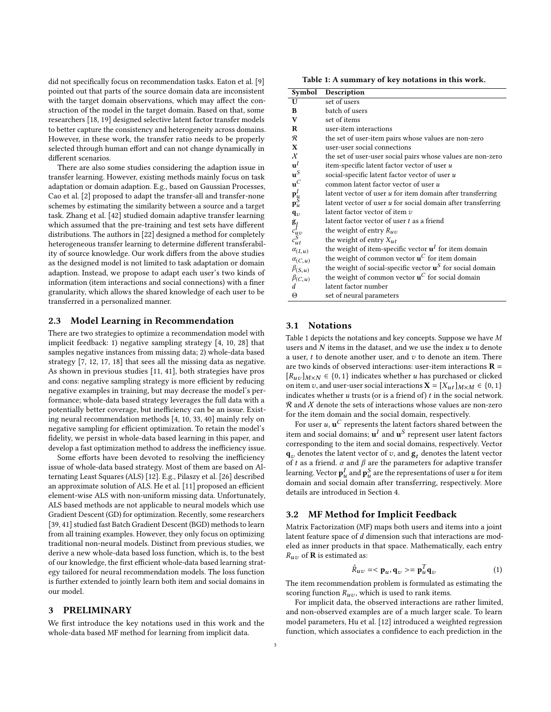did not specifically focus on recommendation tasks. Eaton et al. [\[9\]](#page-9-25) pointed out that parts of the source domain data are inconsistent with the target domain observations, which may affect the construction of the model in the target domain. Based on that, some researchers [\[18,](#page-9-5) [19\]](#page-9-26) designed selective latent factor transfer models to better capture the consistency and heterogeneity across domains. However, in these work, the transfer ratio needs to be properly selected through human effort and can not change dynamically in different scenarios.

There are also some studies considering the adaption issue in transfer learning. However, existing methods mainly focus on task adaptation or domain adaption. E.g., based on Gaussian Processes, Cao et al. [\[2\]](#page-9-20) proposed to adapt the transfer-all and transfer-none schemes by estimating the similarity between a source and a target task. Zhang et al. [\[42\]](#page-9-27) studied domain adaptive transfer learning which assumed that the pre-training and test sets have different distributions. The authors in [\[22\]](#page-9-21) designed a method for completely heterogeneous transfer learning to determine different transferability of source knowledge. Our work differs from the above studies as the designed model is not limited to task adaptation or domain adaption. Instead, we propose to adapt each user's two kinds of information (item interactions and social connections) with a finer granularity, which allows the shared knowledge of each user to be transferred in a personalized manner.

# 2.3 Model Learning in Recommendation

There are two strategies to optimize a recommendation model with implicit feedback: 1) negative sampling strategy [\[4,](#page-9-4) [10,](#page-9-12) [28\]](#page-9-3) that samples negative instances from missing data; 2) whole-data based strategy [\[7,](#page-9-28) [12,](#page-9-1) [17,](#page-9-29) [18\]](#page-9-5) that sees all the missing data as negative. As shown in previous studies [\[11,](#page-9-30) [41\]](#page-9-16), both strategies have pros and cons: negative sampling strategy is more efficient by reducing negative examples in training, but may decrease the model's performance; whole-data based strategy leverages the full data with a potentially better coverage, but inefficiency can be an issue. Existing neural recommendation methods [\[4,](#page-9-4) [10,](#page-9-12) [33,](#page-9-13) [40\]](#page-9-15) mainly rely on negative sampling for efficient optimization. To retain the model's fidelity, we persist in whole-data based learning in this paper, and develop a fast optimization method to address the inefficiency issue.

Some efforts have been devoted to resolving the inefficiency issue of whole-data based strategy. Most of them are based on Alternating Least Squares (ALS) [\[12\]](#page-9-1). E.g., Pilaszy et al. [\[26\]](#page-9-31) described an approximate solution of ALS. He et al. [\[11\]](#page-9-30) proposed an efficient element-wise ALS with non-uniform missing data. Unfortunately, ALS based methods are not applicable to neural models which use Gradient Descent (GD) for optimization. Recently, some researchers [\[39,](#page-9-32) [41\]](#page-9-16) studied fast Batch Gradient Descent (BGD) methods to learn from all training examples. However, they only focus on optimizing traditional non-neural models. Distinct from previous studies, we derive a new whole-data based loss function, which is, to the best of our knowledge, the first efficient whole-data based learning strategy tailored for neural recommendation models. The loss function is further extended to jointly learn both item and social domains in our model.

## 3 PRELIMINARY

We first introduce the key notations used in this work and the whole-data based MF method for learning from implicit data.

<span id="page-2-0"></span>Table 1: A summary of key notations in this work.

| set of users                                                                                           |  |
|--------------------------------------------------------------------------------------------------------|--|
| U                                                                                                      |  |
| batch of users<br>B                                                                                    |  |
| set of items<br>V                                                                                      |  |
| R<br>user-item interactions                                                                            |  |
| R<br>the set of user-item pairs whose values are non-zero                                              |  |
| user-user social connections<br>$\mathbf x$                                                            |  |
| $\chi$<br>the set of user-user social pairs whose values are non-zero                                  |  |
| $\mathbf{u}^{I}$<br>item-specific latent factor vector of user u                                       |  |
| $\mathbf{u}^{\mathcal{S}}$<br>social-specific latent factor vector of user u                           |  |
| $\mathbf{u}^C$<br>common latent factor vector of user u                                                |  |
| latent vector of user u for item domain after transferring                                             |  |
| $\mathbf{p}_u^I$<br>$\mathbf{p}_u^S$<br>latent vector of user $u$ for social domain after transferring |  |
| latent factor vector of item $v$<br>$q_v$                                                              |  |
| latent factor vector of user t as a friend                                                             |  |
| the weight of entry $R_{uv}$                                                                           |  |
| $\begin{array}{l} \mathbf{g}_t \\ c_{uv}^I \\ c_{ut}^S \end{array}$<br>the weight of entry $X_{ut}$    |  |
| the weight of item-specific vector $\mathbf{u}^{I}$ for item domain<br>$\alpha_{(I, u)}$               |  |
| the weight of common vector $\mathbf{u}^C$ for item domain<br>$\alpha_{(C, u)}$                        |  |
| the weight of social-specific vector $\mathbf{u}^{S}$ for social domain<br>$\beta_{(S,u)}$             |  |
| the weight of common vector $\mathbf{u}^C$ for social domain<br>$\beta_{(C, u)}$                       |  |
| latent factor number<br>d                                                                              |  |
| set of neural parameters<br>Θ                                                                          |  |

## 3.1 Notations

Table [1](#page-2-0) depicts the notations and key concepts. Suppose we have M users and  $N$  items in the dataset, and we use the index  $u$  to denote a user, t to denote another user, and  $v$  to denote an item. There are two kinds of observed interactions: user-item interactions  $\mathbf{R} =$  $[R_{uv}]_{M\times N} \in \{0,1\}$  indicates whether u has purchased or clicked on item v, and user-user social interactions  $X = [X_{ut}]_{M \times M} \in \{0, 1\}$ indicates whether  $u$  trusts (or is a friend of)  $t$  in the social network.  $R$  and  $X$  denote the sets of interactions whose values are non-zero for the item domain and the social domain, respectively.

For user u,  $\mathbf{u}^C$  represents the latent factors shared between the mand social domains:  $\mathbf{u}^I$  and  $\mathbf{u}^S$  represent user latent factors item and social domains;  $\mathbf{u}^I$  and  $\mathbf{u}^S$  represent user latent factors corresponding to the item and social domains, respectively. Vector  $\mathbf{q}_v$  denotes the latent vector of v, and  $\mathbf{g}_t$  denotes the latent vector<br>of t as a friend  $\alpha$  and  $\beta$  are the parameters for adaptive transfer of t as a friend.  $\alpha$  and  $\beta$  are the parameters for adaptive transfer<br>learning Vector  $\mathbf{n}^I$  and  $\mathbf{n}^S$  are the representations of user u for item learning. Vector  $\mathbf{p}_u^I$  and  $\mathbf{p}_u^S$  are the representations of user u for item<br>domain and social domain after transferring, respectively. More domain and social domain after transferring, respectively. More details are introduced in Section [4.](#page-3-0)

#### 3.2 MF Method for Implicit Feedback

Matrix Factorization (MF) maps both users and items into a joint latent feature space of d dimension such that interactions are modeled as inner products in that space. Mathematically, each entry  $R_{uv}$  of **R** is estimated as:

$$
\hat{R}_{uv} = \langle \mathbf{p}_u, \mathbf{q}_v \rangle = \mathbf{p}_u^T \mathbf{q}_v \tag{1}
$$

The item recommendation problem is formulated as estimating the scoring function  $R_{uv}$ , which is used to rank items.

For implicit data, the observed interactions are rather limited, and non-observed examples are of a much larger scale. To learn model parameters, Hu et al. [\[12\]](#page-9-1) introduced a weighted regression function, which associates a confidence to each prediction in the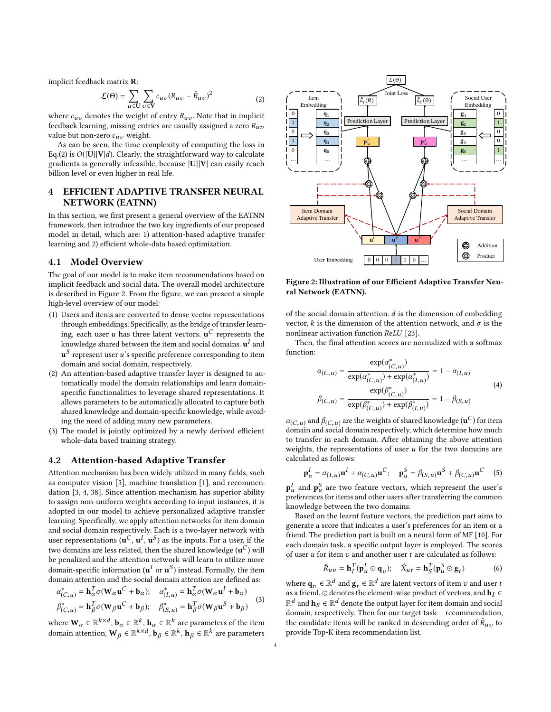<span id="page-3-1"></span>implicit feedback matrix R:

$$
\mathcal{L}(\Theta) = \sum_{u \in U} \sum_{v \in V} c_{uv} (R_{uv} - \hat{R}_{uv})^2
$$
 (2)

where  $c_{uv}$  denotes the weight of entry  $R_{uv}$ . Note that in implicit the denotes the weight of the strained a zero  $R$ feedback learning, missing entries are usually assigned a zero  $R_{uv}$ value but non-zero  $c_{\mu\tau}$ , weight.

As can be seen, the time complexity of computing the loss in Eq.[\(2\)](#page-3-1) is  $O(|U||V|d)$ . Clearly, the straightforward way to calculate gradients is generally infeasible, because |U||V| can easily reach billion level or even higher in real life.

# <span id="page-3-0"></span>4 EFFICIENT ADAPTIVE TRANSFER NEURAL NETWORK (EATNN)

In this section, we first present a general overview of the EATNN framework, then introduce the two key ingredients of our proposed model in detail, which are: 1) attention-based adaptive transfer learning and 2) efficient whole-data based optimization.

# 4.1 Model Overview

The goal of our model is to make item recommendations based on implicit feedback and social data. The overall model architecture is described in Figure [2.](#page-3-2) From the figure, we can present a simple high-level overview of our model:

- (1) Users and items are converted to dense vector representations through embeddings. Specifically, as the bridge of transfer learning, each user *u* has three latent vectors.  $\mathbf{u}^C$  represents the knowledge shared between the item and social domains  $\mathbf{u}^I$  and knowledge shared between the item and social domains.  $\mathbf{u}^{I}$  and  $\mathbf{u}^S$  represent user  $u$ 's specific preference corresponding to item<br>domain and social domain, respectively. domain and social domain, respectively.
- (2) An attention-based adaptive transfer layer is designed to automatically model the domain relationships and learn domainspecific functionalities to leverage shared representations. It allows parameters to be automatically allocated to capture both shared knowledge and domain-specific knowledge, while avoiding the need of adding many new parameters.
- (3) The model is jointly optimized by a newly derived efficient whole-data based training strategy.

## 4.2 Attention-based Adaptive Transfer

Attention mechanism has been widely utilized in many fields, such as computer vision [\[5\]](#page-9-33), machine translation [\[1\]](#page-9-17), and recommendation [\[3,](#page-9-18) [4,](#page-9-4) [38\]](#page-9-34). Since attention mechanism has superior ability to assign non-uniform weights according to input instances, it is adopted in our model to achieve personalized adaptive transfer learning. Specifically, we apply attention networks for item domain and social domain respectively. Each is a two-layer network with user representations ( $\mathbf{u}^C$ ,  $\mathbf{u}^I$ ,  $\mathbf{u}^S$ ) as the inputs. For a user, if the two domains are less related, then the shared knowledge  $(\mathbf{u}^{\mathcal{C}})$  will be penalized and the attention network will learn to utilize more domain-specific information  $(\mathbf{u}^I \text{ or } \mathbf{u}^S)$  instead. Formally, the item domain attention and the social domain attention are defined as:

$$
\alpha_{(C,u)}^* = \mathbf{h}_{\alpha}^T \sigma(\mathbf{W}_{\alpha} \mathbf{u}^C + \mathbf{b}_{\alpha}); \quad \alpha_{(I,u)}^* = \mathbf{h}_{\alpha}^T \sigma(\mathbf{W}_{\alpha} \mathbf{u}^I + \mathbf{b}_{\alpha})
$$
  

$$
\beta_{(C,u)}^* = \mathbf{h}_{\beta}^T \sigma(\mathbf{W}_{\beta} \mathbf{u}^C + \mathbf{b}_{\beta}); \quad \beta_{(S,u)}^* = \mathbf{h}_{\beta}^T \sigma(\mathbf{W}_{\beta} \mathbf{u}^S + \mathbf{b}_{\beta})
$$
(3)

 $P(C, u) = \mathbf{n}_{\beta} \mathbf{o}(\mathbf{w}_{\beta} \mathbf{u} + \mathbf{b}_{\beta}), \quad P(S, u) = \mathbf{n}_{\beta} \mathbf{o}(\mathbf{w}_{\beta} \mathbf{u} + \mathbf{b}_{\beta})$ <br>where  $\mathbf{W}_{\alpha} \in \mathbb{R}^{k \times d}, \mathbf{b}_{\alpha} \in \mathbb{R}^{k}, \mathbf{h}_{\alpha} \in \mathbb{R}^{k}$  are parameters of the item<br>domain ottorion  $\mathbf{W}_{\alpha} \in \$ domain attention,  $\mathbf{W}_\beta \in \mathbb{R}^{k \times d}$ ,  $\mathbf{b}_\beta \in \mathbb{R}^k$ ,  $\mathbf{h}_\beta \in \mathbb{R}^k$  are parameters

<span id="page-3-2"></span>

Figure 2: Illustration of our Efficient Adaptive Transfer Neural Network (EATNN).

of the social domain attention.  $d$  is the dimension of embedding vector, k is the dimension of the attention network, and  $\sigma$  is the nonlinear activation function ReLU [\[23\]](#page-9-35).

Then, the final attention scores are normalized with a softmax function:

$$
\alpha_{(C,u)} = \frac{\exp(\alpha^*_{(C,u)})}{\exp(\alpha^*_{(C,u)}) + \exp(\alpha^*_{(I,u)})} = 1 - \alpha_{(I,u)}
$$
\n
$$
\beta_{(C,u)} = \frac{\exp(\beta^*_{(C,u)})}{\exp(\beta^*_{(C,u)}) + \exp(\beta^*_{(I,u)})} = 1 - \beta_{(S,u)}
$$
\n(4)

 $\alpha_{(C,u)}$  and  $\beta_{(C,u)}$  are the weights of shared knowledge ( $\mathbf{u}^C$ ) for item<br>domain and social domain respectively, which determine how much domain and social domain respectively, which determine how much to transfer in each domain. After obtaining the above attention weights, the representations of user  $u$  for the two domains are calculated as follows:

$$
\mathbf{p}_u^I = \alpha_{(I,u)} \mathbf{u}^I + \alpha_{(C,u)} \mathbf{u}^C; \quad \mathbf{p}_u^S = \beta_{(S,u)} \mathbf{u}^S + \beta_{(C,u)} \mathbf{u}^C \tag{5}
$$

 ${\bf p}_u^I$  and  ${\bf p}_u^S$  are two feature vectors, which represent the user's preferences for items and other users after transferring the common knowledge between the two domains.

Based on the learnt feature vectors, the prediction part aims to generate a score that indicates a user's preferences for an item or a friend. The prediction part is built on a neural form of MF [\[10\]](#page-9-12). For each domain task, a specific output layer is employed. The scores of user  $u$  for item  $v$  and another user  $t$  are calculated as follows:

$$
\hat{R}_{uv} = \mathbf{h}_I^T (\mathbf{p}_u^I \odot \mathbf{q}_v); \quad \hat{X}_{ut} = \mathbf{h}_S^T (\mathbf{p}_u^S \odot \mathbf{g}_t)
$$
 (6)

where  ${\bf q}_v$ <br>as a friend ∈  $\mathbb{R}^d$  and  $\mathbf{g}_t$ <br>⊙ denotes t  $\in \mathbb{R}^d$  are latent vectors of item  $v$  and user t<br>e element-wise product of vectors, and **h**  $\in$ as a friend,  $\odot$  denotes the element-wise product of vectors, and  $\mathbf{h}_I \in \mathbb{R}^d$  and  $\mathbf{h}_o \in \mathbb{R}^d$  denote the output lever for item demain and social  $\mathbb{R}^d$  and  $\mathbf{h}_S \in \mathbb{R}^d$  denote the output layer for item domain and social<br>domain, respectively. Then for our target task – recommendation domain, respectively. Then for our target task – recommendation, the candidate items will be ranked in descending order of  $\hat{R}_{uv}$  to provide Top-K item recommendation list provide Top-K item recommendation list.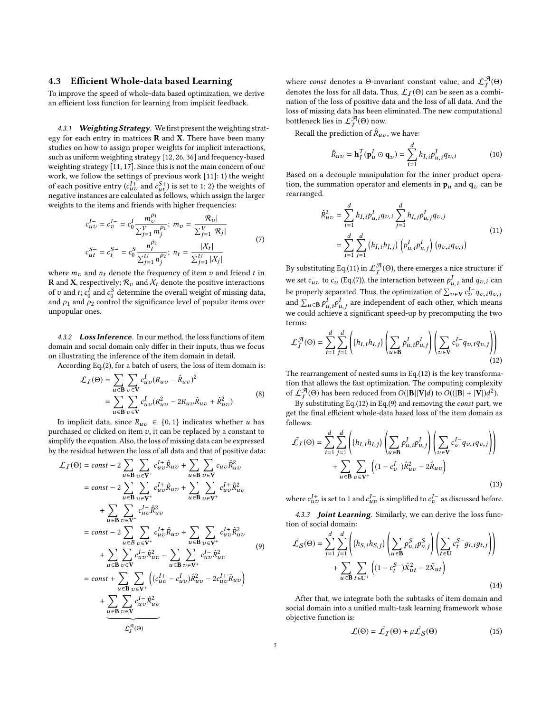## 4.3 Efficient Whole-data based Learning

To improve the speed of whole-data based optimization, we derive an efficient loss function for learning from implicit feedback.

4.3.1 Weighting Strategy. We first present the weighting strategy for each entry in matrices  **and**  $**X**$ **. There have been many** studies on how to assign proper weights for implicit interactions, such as uniform weighting strategy [\[12,](#page-9-1) [26,](#page-9-31) [36\]](#page-9-36) and frequency-based weighting strategy [\[11,](#page-9-30) [17\]](#page-9-29). Since this is not the main concern of our work, we follow the settings of previous work [\[11\]](#page-9-30): 1) the weight of each positive entry  $(c_{uv}^{I+}$  and  $c_{ut}^{S+}$ ) is set to 1; 2) the weights of<br>negative instances are calculated as follows, which assign the larger negative instances are calculated as follows, which assign the larger weights to the items and friends with higher frequencies:

$$
c_{uv}^{I-} = c_v^{I-} = c_0^I \frac{m_v^{p_1}}{\sum_{j=1}^V m_j^{p_1}}; \ m_v = \frac{|\mathcal{R}_v|}{\sum_{j=1}^V |\mathcal{R}_j|}
$$
  

$$
c_{ut}^{S-} = c_t^{S-} = c_0^S \frac{n_t^{p_2}}{\sum_{j=1}^U n_j^{p_2}}; \ n_t = \frac{|\mathcal{X}_t|}{\sum_{j=1}^U |\mathcal{X}_j|}
$$
 (7)

<span id="page-4-1"></span>where  $m_v$  and  $n_t$  denote the frequency of item v and friend t in<br>**R** and **X** respectively:  $\mathcal{R}_v$  and  $\mathcal{X}_t$  denote the positive interactions **R** and **X**, respectively;  $\mathcal{R}_v$  and  $\mathcal{X}_t$  denote the positive interactions of v and  $t$ ;  $c_0^I$  and  $c_0^S$  determine the overall weight of missing data,<br>and  $\alpha_1$  and  $\alpha_2$  control the significance level of popular items over and  $\rho_1$  and  $\rho_2$  control the significance level of popular items over unpopular ones.

4.3.2 Loss Inference. In our method, the loss functions of item domain and social domain only differ in their inputs, thus we focus on illustrating the inference of the item domain in detail.

According Eq.[\(2\)](#page-3-1), for a batch of users, the loss of item domain is:

$$
\mathcal{L}_I(\Theta) = \sum_{u \in \mathbf{B}} \sum_{v \in \mathbf{V}} c_{uv}^I (R_{uv} - \hat{R}_{uv})^2
$$
  
= 
$$
\sum_{u \in \mathbf{B}} \sum_{v \in \mathbf{V}} c_{uv}^I (R_{uv}^2 - 2R_{uv}\hat{R}_{uv} + \hat{R}_{uv}^2)
$$
 (8)

In implicit data, since  $R_{uv} \in \{0, 1\}$  indicates whether u has replaced or clicked on item z, it can be replaced by a constant to purchased or clicked on item  $v$ , it can be replaced by a constant to simplify the equation. Also, the loss of missing data can be expressed by the residual between the loss of all data and that of positive data:

<span id="page-4-3"></span>
$$
\mathcal{L}_{I}(\Theta) = const - 2 \sum_{u \in \mathbf{B}} \sum_{v \in V^{+}} c_{uv}^{I^{+}} \hat{R}_{uv} + \sum_{u \in \mathbf{B}} \sum_{v \in V} c_{uv} \hat{R}_{uv}^{2}
$$
\n
$$
= const - 2 \sum_{u \in \mathbf{B}} \sum_{v \in V^{+}} c_{uv}^{I^{+}} \hat{R}_{uv} + \sum_{u \in \mathbf{B}} \sum_{v \in V^{+}} c_{uv}^{I^{+}} \hat{R}_{uv}^{2}
$$
\n
$$
+ \sum_{u \in \mathbf{B}} \sum_{v \in V^{-}} c_{uv}^{I^{-}} \hat{R}_{uv}^{2}
$$
\n
$$
= const - 2 \sum_{u \in \mathbf{B}} \sum_{v \in V^{+}} c_{uv}^{I^{+}} \hat{R}_{uv} + \sum_{u \in \mathbf{B}} \sum_{v \in V^{+}} c_{uv}^{I^{+}} \hat{R}_{uv}^{2}
$$
\n
$$
+ \sum_{u \in \mathbf{B}} \sum_{v \in V} c_{uv}^{I^{-}} \hat{R}_{uv}^{2} - \sum_{u \in \mathbf{B}} \sum_{v \in V^{+}} c_{uv}^{I^{-}} \hat{R}_{uv}^{2}
$$
\n
$$
= const + \sum_{u \in \mathbf{B}} \sum_{v \in V^{+}} \left( (c_{uv}^{I^{+}} - c_{uv}^{I^{-}}) \hat{R}_{uv}^{2} - 2c_{uv}^{I^{+}} \hat{R}_{uv} \right)
$$
\n
$$
+ \sum_{u \in \mathbf{B}} \sum_{v \in V} c_{uv}^{I^{-}} \hat{R}_{uv}^{2}
$$
\n
$$
\underbrace{\sum_{u \in \mathbf{B}} \sum_{v \in V} c_{uv}^{I^{-}} \hat{R}_{uv}^{2}}_{\mathcal{L}_{I}^{\mathcal{P}}(\Theta)}
$$
\n(9)

where const denotes a  $\Theta$ -invariant constant value, and  $\mathcal{L}_{I}^{\mathcal{A}}(\Theta)$ <br>denotes the loss for all data. Thus,  $\mathcal{L}_{I}(\Theta)$  can be seen as a semble denotes the loss for all data. Thus,  $\mathcal{L}_I(\Theta)$  can be seen as a combination of the loss of positive data and the loss of all data. And the loss of missing data has been eliminated. The new computational bottleneck lies in  $\mathcal{L}_I^{\mathcal{A}}(\Theta)$  now.

Recall the prediction of  $\hat{R}_{uv}$ , we have:

$$
\hat{R}_{uv} = \mathbf{h}_I^T (\mathbf{p}_u^I \odot \mathbf{q}_v) = \sum_{i=1}^d h_{I,i} p_{u,i}^I q_{v,i}
$$
(10)

 $\qquad \qquad i=1 \ \qquad \qquad$ Based on a decouple manipulation for the inner product operation, the summation operator and elements in  $\mathbf{p}_u$  and  $\mathbf{q}_v$  can be rearranged.

$$
\hat{R}_{uv}^2 = \sum_{i=1}^d h_{I,i} p_{u,i}^I q_{v,i} \sum_{j=1}^d h_{I,j} p_{u,j}^I q_{v,j}
$$
\n
$$
= \sum_{i=1}^d \sum_{j=1}^d (h_{I,i} h_{I,j}) \left( p_{u,i}^I p_{u,j}^I \right) (q_{v,i} q_{v,j})
$$
\n(11)

<span id="page-4-0"></span>By substituting Eq.[\(11\)](#page-4-0) in  $\mathcal{L}_{\mathcal{A}}^{\mathcal{A}}(\Theta)$ , there emerges a nice structure: if we set  $c_{uv}^-$  to  $c_v^-$  (Eq.[\(7\)](#page-4-1)), the interaction between  $p_{u,i}^I$  and  $q_{v,i}$  can be properly separated. Thus, the optimization of  $\sum_{v \in V} c_v^{I-1}$  $\sum_{i=1}^{n} p_i^T p_{i,j}^T p_{i,j}^T$  are independent of each other, which means<br>and  $\sum_{i=1}^{n} p_{i,j}^T p_{i,j}^T p_{i,j}^T$  are independent of each other, which means  $\sum u \in \mathbf{B} \cdot u, \mu^u, \mu^v$ , we could achieve a significant speed-up by precomputing the two terms:

<span id="page-4-2"></span>
$$
\mathcal{L}_I^{\mathcal{A}}(\Theta) = \sum_{i=1}^d \sum_{j=1}^d \left( (h_{I,i} h_{I,j}) \left( \sum_{u \in \mathbf{B}} p_{u,i}^I p_{u,j}^I \right) \left( \sum_{v \in \mathbf{V}} c_v^{I-} q_{v,i} q_{v,j} \right) \right)
$$
(12)

The rearrangement of nested sums in Eq.[\(12\)](#page-4-2) is the key transformation that allows the fast optimization. The computing complexity of  $\mathcal{L}_{I}^{\mathcal{A}}(\Theta)$  has been reduced from  $O(|\mathbf{B}||\mathbf{V}|d)$  to  $O((|\mathbf{B}|+|\mathbf{V}|)d^{2})$ .<br>By substituting Eq.(12) in Eq.(0) and remaying the const part with

By substituting Eq.[\(12\)](#page-4-2) in Eq.[\(9\)](#page-4-3) and removing the *const* part, we get the final efficient whole-data based loss of the item domain as follows:

<span id="page-4-4"></span>
$$
\tilde{\mathcal{L}}_I(\Theta) = \sum_{i=1}^d \sum_{j=1}^d \left( (h_{I,i} h_{I,j}) \left( \sum_{u \in \mathbf{B}} p_{u,i}^I p_{u,j}^I \right) \left( \sum_{v \in \mathbf{V}} c_v^{I-} q_{v,i} q_{v,j} \right) \right) + \sum_{u \in \mathbf{B}} \sum_{v \in \mathbf{V}^+} \left( (1 - c_v^{I-}) \hat{R}_{uv}^2 - 2 \hat{R}_{uv} \right)
$$
\n(13)

where  $c_{uv}^{I+}$  is set to 1 and  $c_{uv}^{I-}$  is simplified to  $c_{v}^{I-}$  as discussed before.

4.3.3 **Joint Learning**. Similarly, we can derive the loss function of social domain:

<span id="page-4-5"></span>
$$
\tilde{\mathcal{L}}_{\mathcal{S}}(\Theta) = \sum_{i=1}^{d} \sum_{j=1}^{d} \left( (h_{S,i} h_{S,j}) \left( \sum_{u \in \mathbf{B}} p_{u,i}^{S} p_{u,j}^{S} \right) \left( \sum_{t \in \mathbf{U}} c_{t}^{S-} g_{t,i} g_{t,j} \right) \right) + \sum_{u \in \mathbf{B}} \sum_{t \in \mathbf{U}^{+}} \left( (1 - c_{t}^{S-}) \hat{X}_{ut}^{2} - 2 \hat{X}_{ut} \right)
$$
\n(14)

<span id="page-4-6"></span>After that, we integrate both the subtasks of item domain and social domain into a unified multi-task learning framework whose objective function is:

$$
\mathcal{L}(\Theta) = \tilde{\mathcal{L}}_I(\Theta) + \mu \tilde{\mathcal{L}}_S(\Theta) \tag{15}
$$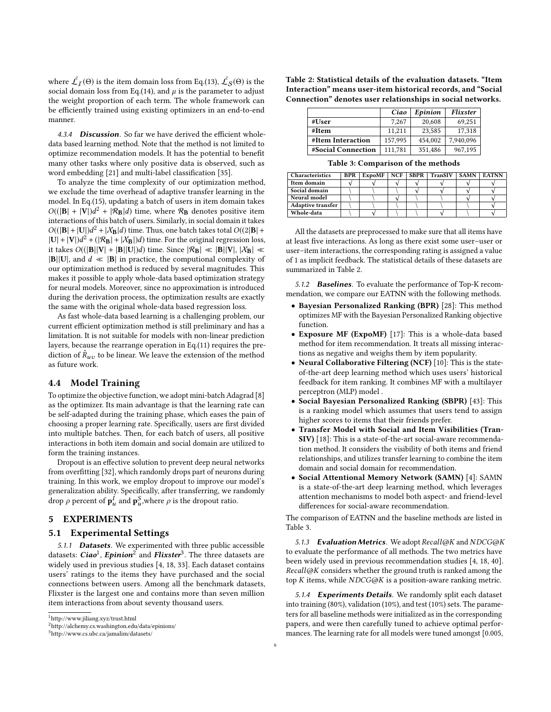where  $\mathcal{L}_I(\Theta)$  is the item domain loss from Eq.[\(13\)](#page-4-4),  $\mathcal{L}_S(\Theta)$  is the social domain loss from Eq.(14), and *u* is the parameter to adjust social domain loss from Eq.[\(14\)](#page-4-5), and  $\mu$  is the parameter to adjust the weight proportion of each term. The whole framework can be efficiently trained using existing optimizers in an end-to-end manner.

4.3.4 Discussion. So far we have derived the efficient wholedata based learning method. Note that the method is not limited to optimize recommendation models. It has the potential to benefit many other tasks where only positive data is observed, such as word embedding [\[21\]](#page-9-37) and multi-label classification [\[35\]](#page-9-38).

To analyze the time complexity of our optimization method, we exclude the time overhead of adaptive transfer learning in the model. In Eq.[\(15\)](#page-4-6), updating a batch of users in item domain takes  $O((|\mathbf{B}| + |\mathbf{V}|)d^2 + |\mathcal{R}_{\mathbf{B}}|d)$  time, where  $\mathcal{R}_{\mathbf{B}}$  denotes positive item<br>interactions of this batch of users Similarly in social domain it takes interactions of this batch of users. Similarly, in social domain it takes  $O((|\mathbf{B}|+|\mathbf{U}|)d^2+|\mathbf{X}_{\mathbf{B}}|d)$  time. Thus, one batch takes total  $O((2|\mathbf{B}|+|\mathbf{U}|)d^2+(|\mathcal{R}_{\mathbf{B}}|+|\mathbf{X}_{\mathbf{B}}|d)$  time. For the original regression loss  $|\mathbf{U}| + |\mathbf{V}|d^2 + (|\mathcal{R}_{\mathbf{B}}| + |\mathcal{X}_{\mathbf{B}}|)d$  time. For the original regression loss,<br>it takes  $O((|\mathbf{R}||\mathbf{V}| + |\mathbf{R}||\mathbf{U}|)d)$  time. Since  $|\mathcal{R}_{\mathbf{B}}| \ll |\mathbf{R}||\mathbf{V}| + |\mathcal{X}_{\mathbf{B}}| \ll$ it takes  $O((|\mathbf{B}||\mathbf{V}| + |\mathbf{B}||\mathbf{U}|)d)$  time. Since  $|\mathcal{R}_{\mathbf{B}}| \ll |\mathbf{B}||\mathbf{V}|, |\mathcal{X}_{\mathbf{B}}| \ll$  $|\mathbf{B}||\mathbf{U}|$ , and  $d \ll |\mathbf{B}|$  in practice, the computional complexity of our optimization method is reduced by several magnitudes. This makes it possible to apply whole-data based optimization strategy for neural models. Moreover, since no approximation is introduced during the derivation process, the optimization results are exactly the same with the original whole-data based regression loss.

As fast whole-data based learning is a challenging problem, our current efficient optimization method is still preliminary and has a limitation. It is not suitable for models with non-linear prediction layers, because the rearrange operation in Eq.[\(11\)](#page-4-0) requires the prediction of  $\hat{R}_{uv}$  to be linear. We leave the extension of the method<br>as future work as future work.

#### 4.4 Model Training

To optimize the objective function, we adopt mini-batch Adagrad [\[8\]](#page-9-39) as the optimizer. Its main advantage is that the learning rate can be self-adapted during the training phase, which eases the pain of choosing a proper learning rate. Specifically, users are first divided into multiple batches. Then, for each batch of users, all positive interactions in both item domain and social domain are utilized to form the training instances.

Dropout is an effective solution to prevent deep neural networks from overfitting [\[32\]](#page-9-40), which randomly drops part of neurons during training. In this work, we employ dropout to improve our model's generalization ability. Specifically, after transferring, we randomly drop  $\rho$  percent of  $\mathbf{p}_u^I$  and  $\mathbf{p}_u^S$ , where  $\rho$  is the dropout ratio.

# 5 EXPERIMENTS

#### 5.1 Experimental Settings

5.1.1 **Datasets**. We experimented with three public accessible datasets:  $Ciao^1$  $Ciao^1$ ,  $Epinion^2$  $Epinion^2$  and  $Flixster^3$  $Flixster^3$ . The three datasets are widely used in previous studies [\[4,](#page-9-4) [18,](#page-9-5) [33\]](#page-9-13). Each dataset contains users' ratings to the items they have purchased and the social connections between users. Among all the benchmark datasets, Flixster is the largest one and contains more than seven million item interactions from about seventy thousand users.

<span id="page-5-0"></span>Table 2: Statistical details of the evaluation datasets. "Item Interaction" means user-item historical records, and "Social Connection" denotes user relationships in social networks.

|                    | Ciao    | Epinion | Flixster  |
|--------------------|---------|---------|-----------|
| #User              | 7.267   | 20,608  | 69,251    |
| #Item              | 11.211  | 23.585  | 17.318    |
| #Item Interaction  | 157,995 | 454,002 | 7,940,096 |
| #Social Connection | 111,781 | 351,486 | 967.195   |

Table 3: Comparison of the methods

<span id="page-5-1"></span>

| <b>Characteristics</b>   | BPR | ExpoMF | NCF | ⊢SBPR ∣ | <b>TranSIV</b> | <b>SAMN</b> | <b>FATNN</b> |
|--------------------------|-----|--------|-----|---------|----------------|-------------|--------------|
| Item domain              |     |        |     |         |                |             |              |
| Social domain            |     |        |     |         |                |             |              |
| Neural model             |     |        |     |         |                |             |              |
| <b>Adaptive transfer</b> |     |        |     |         |                |             |              |
| Whole-data               |     |        |     |         |                |             |              |

All the datasets are preprocessed to make sure that all items have at least five interactions. As long as there exist some user-user or user–item interactions, the corresponding rating is assigned a value of 1 as implicit feedback. The statistical details of these datasets are summarized in Table [2.](#page-5-0)

5.1.2 **Baselines**. To evaluate the performance of Top-K recommendation, we compare our EATNN with the following methods.

- Bayesian Personalized Ranking (BPR) [\[28\]](#page-9-3): This method optimizes MF with the Bayesian Personalized Ranking objective function.
- Exposure MF (ExpoMF) [\[17\]](#page-9-29): This is a whole-data based method for item recommendation. It treats all missing interactions as negative and weighs them by item popularity.
- Neural Collaborative Filtering (NCF) [\[10\]](#page-9-12): This is the stateof-the-art deep learning method which uses users' historical feedback for item ranking. It combines MF with a multilayer perceptron (MLP) model .
- Social Bayesian Personalized Ranking (SBPR) [\[43\]](#page-9-8): This is a ranking model which assumes that users tend to assign higher scores to items that their friends prefer.
- Transfer Model with Social and Item Visibilities (Tran-SIV) [\[18\]](#page-9-5): This is a state-of-the-art social-aware recommendation method. It considers the visibility of both items and friend relationships, and utilizes transfer learning to combine the item domain and social domain for recommendation.
- Social Attentional Memory Network (SAMN) [\[4\]](#page-9-4): SAMN is a state-of-the-art deep learning method, which leverages attention mechanisms to model both aspect- and friend-level differences for social-aware recommendation.

The comparison of EATNN and the baseline methods are listed in Table [3.](#page-5-1)

5.1.3 Evaluation Metrics. We adopt Recall@K and NDCG@K to evaluate the performance of all methods. The two metrics have been widely used in previous recommendation studies [\[4,](#page-9-4) [18,](#page-9-5) [40\]](#page-9-15).  $Recall@K$  considers whether the ground truth is ranked among the top  $K$  items, while  $NDCG@K$  is a position-aware ranking metric.

5.1.4 Experiments Details. We randomly split each dataset into training (80%), validation (10%), and test (10%) sets. The parameters for all baseline methods were initialized as in the corresponding papers, and were then carefully tuned to achieve optimal performances. The learning rate for all models were tuned amongst [0.005,

 $^1$ http://www.jiliang.xyz/trust.html

 ${}^{2}$ http://alchemy.cs.washington.edu/data/epinions/

<sup>3</sup>http://www.cs.ubc.ca/jamalim/datasets/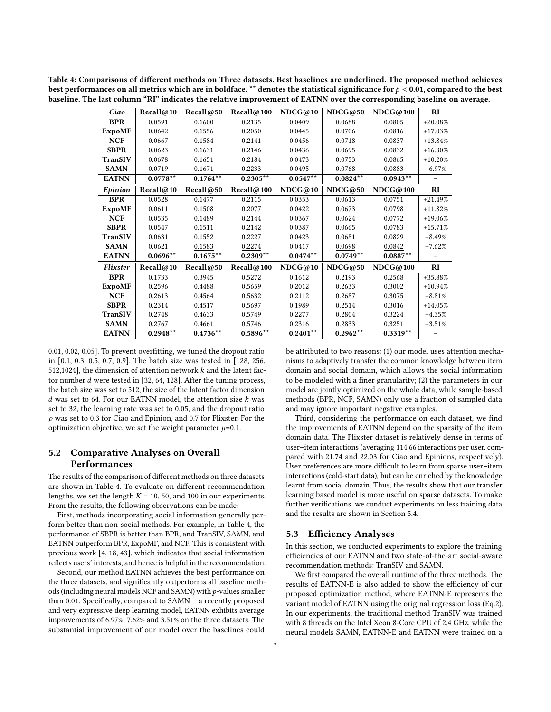<span id="page-6-0"></span>Table 4: Comparisons of different methods on Three datasets. Best baselines are underlined. The proposed method achieves best performances on all metrics which are in boldface. \*\* denotes the statistical significance for  $p < 0.01$ , compared to the best baseline. The last column "RI" indicates the relative improvement of EATNN over the corresponding baseline on average.

| Ciao          | $\overline{\text{Recall}\omega$ 10 | $\overline{\text{Recall}\omega$ 50 | $\overline{\text{Recall}\omega$ 100 | NDCG@10     | NDCG@50    | $\overline{\text{NDCG}}@100$ | RI        |
|---------------|------------------------------------|------------------------------------|-------------------------------------|-------------|------------|------------------------------|-----------|
| <b>BPR</b>    | 0.0591                             | 0.1600                             | 0.2135                              | 0.0409      | 0.0688     | 0.0805                       | $+20.08%$ |
| <b>ExpoMF</b> | 0.0642                             | 0.1556                             | 0.2050                              | 0.0445      | 0.0706     | 0.0816                       | $+17.03%$ |
| <b>NCF</b>    | 0.0667                             | 0.1584                             | 0.2141                              | 0.0456      | 0.0718     | 0.0837                       | $+13.84%$ |
| <b>SBPR</b>   | 0.0623                             | 0.1631                             | 0.2146                              | 0.0436      | 0.0695     | 0.0832                       | $+16.30%$ |
| TranSIV       | 0.0678                             | 0.1651                             | 0.2184                              | 0.0473      | 0.0753     | 0.0865                       | $+10.20%$ |
| <b>SAMN</b>   | 0.0719                             | 0.1671                             | 0.2233                              | 0.0495      | 0.0768     | 0.0883                       | $+6.97%$  |
| <b>EATNN</b>  | $0.0778***$                        | $0.1764***$                        | $0.2305**$                          | $0.0547***$ | $0.0824**$ | $0.0943**$                   |           |
| Epinion       | Recall@10                          | Recall@50                          | Recall@100                          | NDCG@10     | NDCG@50    | NDCG@100                     | RI        |
| <b>BPR</b>    | 0.0528                             | 0.1477                             | 0.2115                              | 0.0353      | 0.0613     | 0.0751                       | $+21.49%$ |
| <b>ExpoMF</b> | 0.0611                             | 0.1508                             | 0.2077                              | 0.0422      | 0.0673     | 0.0798                       | $+11.82%$ |
| <b>NCF</b>    | 0.0535                             | 0.1489                             | 0.2144                              | 0.0367      | 0.0624     | 0.0772                       | $+19.06%$ |
| <b>SBPR</b>   | 0.0547                             | 0.1511                             | 0.2142                              | 0.0387      | 0.0665     | 0.0783                       | $+15.71%$ |
| TranSIV       | 0.0631                             | 0.1552                             | 0.2227                              | 0.0423      | 0.0681     | 0.0829                       | $+8.49%$  |
| <b>SAMN</b>   | 0.0621                             | 0.1583                             | 0.2274                              | 0.0417      | 0.0698     | 0.0842                       | $+7.62%$  |
| <b>EATNN</b>  | $0.0696**$                         | $0.1675**$                         | $0.2309**$                          | $0.0474***$ | $0.0749**$ | $0.0887***$                  |           |
| Flixster      | Recall@10                          | Recall@50                          | Recall@100                          | NDCG@10     | NDCG@50    | <b>NDCG@100</b>              | RI        |
| <b>BPR</b>    | 0.1733                             | 0.3945                             | 0.5272                              | 0.1612      | 0.2193     | 0.2568                       | $+35.88%$ |
| <b>ExpoMF</b> | 0.2596                             | 0.4488                             | 0.5659                              | 0.2012      | 0.2633     | 0.3002                       | $+10.94%$ |
| <b>NCF</b>    | 0.2613                             | 0.4564                             | 0.5632                              | 0.2112      | 0.2687     | 0.3075                       | $+8.81%$  |
| <b>SBPR</b>   | 0.2314                             | 0.4517                             | 0.5697                              | 0.1989      | 0.2514     | 0.3016                       | $+14.05%$ |
| TranSIV       | 0.2748                             | 0.4633                             | 0.5749                              | 0.2277      | 0.2804     | 0.3224                       | $+4.35%$  |
| <b>SAMN</b>   | 0.2767                             | 0.4661                             | 0.5746                              | 0.2316      | 0.2833     | 0.3251                       | $+3.51%$  |
| <b>EATNN</b>  | $0.2948**$                         | $0.4736***$                        | $0.5896***$                         | $0.2401**$  | $0.2962**$ | $0.3319**$                   |           |

0.01, 0.02, 0.05]. To prevent overfitting, we tuned the dropout ratio in [0.1, 0.3, 0.5, 0.7, 0.9]. The batch size was tested in [128, 256, 512,1024], the dimension of attention network  $k$  and the latent factor number d were tested in [32, 64, 128]. After the tuning process, the batch size was set to 512, the size of the latent factor dimension  $d$  was set to 64. For our EATNN model, the attention size  $k$  was set to 32, the learning rate was set to 0.05, and the dropout ratio  $\rho$  was set to 0.3 for Ciao and Epinion, and 0.7 for Flixster. For the optimization objective, we set the weight parameter  $\mu$ =0.1.

# 5.2 Comparative Analyses on Overall Performances

The results of the comparison of different methods on three datasets are shown in Table [4.](#page-6-0) To evaluate on different recommendation lengths, we set the length  $K = 10, 50,$  and 100 in our experiments. From the results, the following observations can be made:

First, methods incorporating social information generally perform better than non-social methods. For example, in Table [4,](#page-6-0) the performance of SBPR is better than BPR, and TranSIV, SAMN, and EATNN outperform BPR, ExpoMF, and NCF. This is consistent with previous work [\[4,](#page-9-4) [18,](#page-9-5) [43\]](#page-9-8), which indicates that social information reflects users' interests, and hence is helpful in the recommendation.

Second, our method EATNN achieves the best performance on the three datasets, and significantly outperforms all baseline methods (including neural models NCF and SAMN) with  $p$ -values smaller than  $0.01$ . Specifically, compared to SAMN – a recently proposed and very expressive deep learning model, EATNN exhibits average improvements of 6.97%, 7.62% and 3.51% on the three datasets. The substantial improvement of our model over the baselines could

be attributed to two reasons: (1) our model uses attention mechanisms to adaptively transfer the common knowledge between item domain and social domain, which allows the social information to be modeled with a finer granularity;  $(2)$  the parameters in our model are jointly optimized on the whole data, while sample-based methods (BPR, NCF, SAMN) only use a fraction of sampled data and may ignore important negative examples.

Third, considering the performance on each dataset, we find the improvements of EATNN depend on the sparsity of the item domain data. The Flixster dataset is relatively dense in terms of user–item interactions (averaging 114.66 interactions per user, compared with 21.74 and 22.03 for Ciao and Epinions, respectively). User preferences are more difficult to learn from sparse user-item interactions (cold-start data), but can be enriched by the knowledge learnt from social domain. Thus, the results show that our transfer learning based model is more useful on sparse datasets. To make further verifications, we conduct experiments on less training data and the results are shown in Section [5.4.](#page-7-0)

#### 5.3 Efficiency Analyses

In this section, we conducted experiments to explore the training efficiencies of our EATNN and two state-of-the-art social-aware recommendation methods: TranSIV and SAMN.

We first compared the overall runtime of the three methods. The results of EATNN-E is also added to show the efficiency of our proposed optimization method, where EATNN-E represents the variant model of EATNN using the original regression loss (Eq[.2\)](#page-3-1). In our experiments, the traditional method TranSIV was trained with 8 threads on the Intel Xeon 8-Core CPU of 2.4 GHz, while the neural models SAMN, EATNN-E and EATNN were trained on a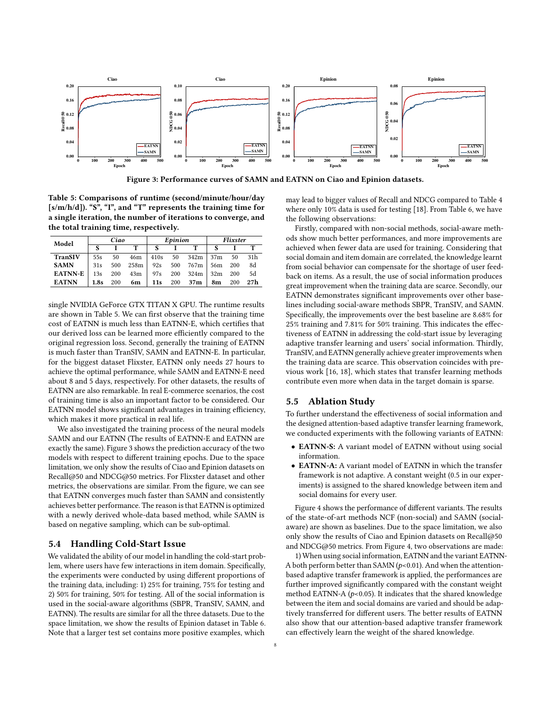<span id="page-7-2"></span>

Figure 3: Performance curves of SAMN and EATNN on Ciao and Epinion datasets.

<span id="page-7-1"></span>Table 5: Comparisons of runtime (second/minute/hour/day [s/m/h/d]). "S", "I", and "T" represents the training time for a single iteration, the number of iterations to converge, and the total training time, respectively.

| Model          | Ciao |     |      | Epinion |     |                 | Flixster        |     |     |
|----------------|------|-----|------|---------|-----|-----------------|-----------------|-----|-----|
|                | S    |     | т    |         |     |                 |                 |     |     |
| <b>TranSIV</b> | 55s  | 50  | 46m  | 410s    | 50  | 342m            | 37 <sub>m</sub> | 50  | 31h |
| <b>SAMN</b>    | 31s  | 500 | 258m | 92s     | 500 | 767m            | 56m             | 200 | 8d  |
| <b>EATNN-E</b> | 13s  | 200 | 43m  | 97s     | 200 | 324m            | 32m             | 200 | 5d  |
| <b>EATNN</b>   | 1.8s | 200 | 6m   | 11s     | 200 | 37 <sub>m</sub> | 8m              | 200 | 27h |

single NVIDIA GeForce GTX TITAN X GPU. The runtime results are shown in Table [5.](#page-7-1) We can first observe that the training time cost of EATNN is much less than EATNN-E, which certifies that our derived loss can be learned more efficiently compared to the original regression loss. Second, generally the training of EATNN is much faster than TranSIV, SAMN and EATNN-E. In particular, for the biggest dataset Flixster, EATNN only needs 27 hours to achieve the optimal performance, while SAMN and EATNN-E need about 8 and 5 days, respectively. For other datasets, the results of EATNN are also remarkable. In real E-commerce scenarios, the cost of training time is also an important factor to be considered. Our EATNN model shows significant advantages in training efficiency, which makes it more practical in real life.

We also investigated the training process of the neural models SAMN and our EATNN (The results of EATNN-E and EATNN are exactly the same). Figure [3](#page-7-2) shows the prediction accuracy of the two models with respect to different training epochs. Due to the space limitation, we only show the results of Ciao and Epinion datasets on Recall@50 and NDCG@50 metrics. For Flixster dataset and other metrics, the observations are similar. From the figure, we can see that EATNN converges much faster than SAMN and consistently achieves better performance. The reason is that EATNN is optimized with a newly derived whole-data based method, while SAMN is based on negative sampling, which can be sub-optimal.

# <span id="page-7-0"></span>5.4 Handling Cold-Start Issue

We validated the ability of our model in handling the cold-start problem, where users have few interactions in item domain. Specifically, the experiments were conducted by using different proportions of the training data, including: 1) 25% for training, 75% for testing and 2) 50% for training, 50% for testing. All of the social information is used in the social-aware algorithms (SBPR, TranSIV, SAMN, and EATNN). The results are similar for all the three datasets. Due to the space limitation, we show the results of Epinion dataset in Table [6.](#page-8-0) Note that a larger test set contains more positive examples, which

may lead to bigger values of Recall and NDCG compared to Table [4](#page-6-0) where only 10% data is used for testing [\[18\]](#page-9-5). From Table [6,](#page-8-0) we have the following observations:

Firstly, compared with non-social methods, social-aware methods show much better performances, and more improvements are achieved when fewer data are used for training. Considering that social domain and item domain are correlated, the knowledge learnt from social behavior can compensate for the shortage of user feedback on items. As a result, the use of social information produces great improvement when the training data are scarce. Secondly, our EATNN demonstrates significant improvements over other baselines including social-aware methods SBPR, TranSIV, and SAMN. Specifically, the improvements over the best baseline are 8.68% for 25% training and 7.81% for 50% training. This indicates the effectiveness of EATNN in addressing the cold-start issue by leveraging adaptive transfer learning and users' social information. Thirdly, TranSIV, and EATNN generally achieve greater improvements when the training data are scarce. This observation coincides with previous work [\[16,](#page-9-41) [18\]](#page-9-5), which states that transfer learning methods contribute even more when data in the target domain is sparse.

## 5.5 Ablation Study

To further understand the effectiveness of social information and the designed attention-based adaptive transfer learning framework, we conducted experiments with the following variants of EATNN:

- EATNN-S: A variant model of EATNN without using social information.
- EATNN-A: A variant model of EATNN in which the transfer framework is not adaptive. A constant weight (0.5 in our experiments) is assigned to the shared knowledge between item and social domains for every user.

Figure [4](#page-8-1) shows the performance of different variants. The results of the state-of-art methods NCF (non-social) and SAMN (socialaware) are shown as baselines. Due to the space limitation, we also only show the results of Ciao and Epinion datasets on Recall@50 and NDCG@50 metrics. From Figure [4,](#page-8-1) two observations are made:

1) When using social information, EATNN and the variant EATNN-A both perform better than SAMN ( $p$ <0.01). And when the attentionbased adaptive transfer framework is applied, the performances are further improved significantly compared with the constant weight method EATNN-A ( $p$ <0.05). It indicates that the shared knowledge between the item and social domains are varied and should be adaptively transferred for different users. The better results of EATNN also show that our attention-based adaptive transfer framework can effectively learn the weight of the shared knowledge.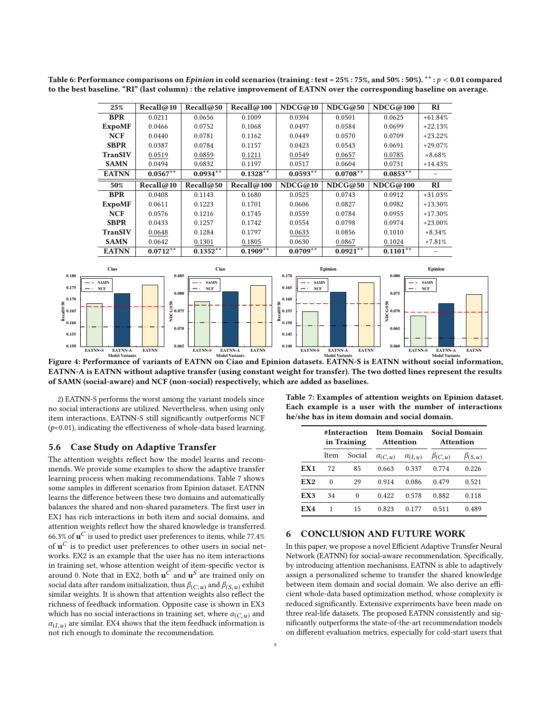<span id="page-8-0"></span>Table 6: Performance comparisons on Epinion in cold scenarios (training : test = 25% : 75%, and 50% : 50%). \*\* :  $p < 0.01$  compared to the best baseline. "RI" (last column) : the relative improvement of EATNN over the corresponding baseline on average.

| 25%            | Recall@10  | $\overline{\text{Recall}\omega$ 50 | Recall@100 | NDCG@10    | NDCG@50    | <b>NDCG@100</b> | <b>RI</b>  |
|----------------|------------|------------------------------------|------------|------------|------------|-----------------|------------|
| <b>BPR</b>     | 0.0211     | 0.0656                             | 0.1009     | 0.0394     | 0.0501     | 0.0625          | $+61.84%$  |
| <b>ExpoMF</b>  | 0.0466     | 0.0752                             | 0.1068     | 0.0497     | 0.0584     | 0.0699          | $+22.13%$  |
| <b>NCF</b>     | 0.0440     | 0.0781                             | 0.1162     | 0.0449     | 0.0570     | 0.0709          | $+23.22%$  |
| <b>SBPR</b>    | 0.0387     | 0.0784                             | 0.1157     | 0.0423     | 0.0543     | 0.0691          | $+29.07%$  |
| <b>TranSIV</b> | 0.0519     | 0.0859                             | 0.1211     | 0.0549     | 0.0657     | 0.0785          | $+8.68%$   |
| <b>SAMN</b>    | 0.0494     | 0.0832                             | 0.1197     | 0.0517     | 0.0604     | 0.0731          | $+14.43%$  |
| <b>EATNN</b>   | $0.0567**$ | $0.0934**$                         | $0.1328**$ | $0.0593**$ | $0.0708**$ | $0.0853**$      |            |
| 50%            | Recall@10  | Recall@50                          | Recall@100 | NDCG@10    | NDCG@50    | NDCG@100        | RI         |
| <b>BPR</b>     | 0.0408     | 0.1143                             | 0.1680     | 0.0525     | 0.0743     | 0.0912          | $+31.03%$  |
| <b>ExpoMF</b>  | 0.0611     | 0.1223                             | 0.1701     | 0.0606     | 0.0827     | 0.0982          | $+13.30\%$ |
| <b>NCF</b>     | 0.0576     | 0.1216                             | 0.1745     | 0.0559     | 0.0784     | 0.0955          | $+17.30%$  |
| <b>SBPR</b>    | 0.0433     | 0.1257                             | 0.1742     | 0.0554     | 0.0798     | 0.0974          | $+23.00\%$ |
| TranSIV        | 0.0648     | 0.1284                             | 0.1797     | 0.0633     | 0.0856     | 0.1010          | $+8.34%$   |
| <b>SAMN</b>    | 0.0642     | 0.1301                             | 0.1805     | 0.0630     | 0.0867     | 0.1024          | $+7.81%$   |
| <b>EATNN</b>   | $0.0712**$ | $0.1352**$                         | $0.1909**$ | $0.0709**$ | $0.0921**$ | $0.1101**$      |            |

<span id="page-8-1"></span>

<sup>Model Variants</sup> Model Variants of EATNN on Ciao and Epinion datasets. EATNN-S is EATNN without social information,<br>Figure 4: Performance of variants of EATNN on Ciao and Epinion datasets. EATNN-S is EATNN without social i EATNN-A is EATNN without adaptive transfer (using constant weight for transfer). The two dotted lines represent the results of SAMN (social-aware) and NCF (non-social) respectively, which are added as baselines.

2) EATNN-S performs the worst among the variant models since no social interactions are utilized. Nevertheless, when using only item interactions, EATNN-S still significantly outperforms NCF  $(p<0.01)$ , indicating the effectiveness of whole-data based learning.

#### 5.6 Case Study on Adaptive Transfer

The attention weights reflect how the model learns and recommends. We provide some examples to show the adaptive transfer learning process when making recommendations. Table [7](#page-8-2) shows some samples in different scenarios from Epinion dataset. EATNN learns the difference between these two domains and automatically balances the shared and non-shared parameters. The first user in EX1 has rich interactions in both item and social domains, and attention weights reflect how the shared knowledge is transferred. 66.3% of  $\mathbf{u}^C$  is used to predict user preferences to items, while 77.4% of  $\mathbf{u}^{\mathcal{C}}$  is to predict user preferences to other users in social networks. EX2 is an example that the user has no item interactions in training set, whose attention weight of item-specific vector is around 0. Note that in EX2, both  $\mathbf{u}^C$  and  $\mathbf{u}^S$  are trained only on social data after random initialization, thus  $\beta(C, u)$  and  $\beta(S, u)$  exhibit similar weights. It is shown that attention weights also reflect the richness of feedback information. Opposite case is shown in EX3 which has no social interactions in training set, where  $\alpha_{(C,u)}$  and  $\alpha_{(I,u)}$  are similar. EX4 shows that the item feedback information is not rich enough to dominate the recommendation.

<span id="page-8-2"></span>Table 7: Examples of attention weights on Epinion dataset. Each example is a user with the number of interactions he/she has in item domain and social domain.

|                 | #Interaction<br>in Training |        | Item Domain       | <b>Attention</b>  | <b>Social Domain</b><br>Attention |               |  |
|-----------------|-----------------------------|--------|-------------------|-------------------|-----------------------------------|---------------|--|
|                 | Item                        | Social | $\alpha_{(C, u)}$ | $\alpha_{(I, u)}$ | $\beta_{(C, u)}$                  | $\beta$ (S,u) |  |
| EX <sub>1</sub> | 72                          | 85     | 0.663             | 0.337             | 0.774                             | 0.226         |  |
| EX <sub>2</sub> | 0                           | 29     | 0.914             | 0.086             | 0.479                             | 0.521         |  |
| EX3             | 34                          | 0      | 0.422             | 0.578             | 0.882                             | 0.118         |  |
| F.X4            | 1                           | 15     | 0.823             | 0.177             | 0.511                             | 0.489         |  |

## 6 CONCLUSION AND FUTURE WORK

In this paper, we propose a novel Efficient Adaptive Transfer Neural Network (EATNN) for social-aware recommendation. Specifically, by introducing attention mechanisms, EATNN is able to adaptively assign a personalized scheme to transfer the shared knowledge between item domain and social domain. We also derive an efficient whole-data based optimization method, whose complexity is reduced significantly. Extensive experiments have been made on three real-life datasets. The proposed EATNN consistently and significantly outperforms the state-of-the-art recommendation models on different evaluation metrics, especially for cold-start users that